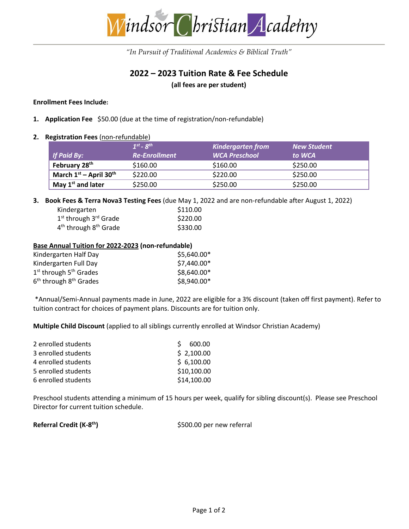

*"In Pursuit of Traditional Academics & Biblical Truth"*

# **2022 – 2023 Tuition Rate & Fee Schedule**

**(all fees are per student)** 

#### **Enrollment Fees Include:**

- **1. Application Fee** \$50.00 (due at the time of registration/non-refundable)
- **2. Registration Fees** (non-refundable)

|                                      | $1^{st}$ - $8^{th}$  | <b>Kindergarten from</b> | <b>New Student</b> |
|--------------------------------------|----------------------|--------------------------|--------------------|
| If Paid By:                          | <b>Re-Enrollment</b> | <b>WCA Preschool</b>     | to WCA             |
| February 28 <sup>th</sup>            | \$160.00             | \$160.00                 | \$250.00           |
| March $1st$ – April 30 <sup>th</sup> | \$220.00             | \$220.00                 | \$250.00           |
| May $1st$ and later                  | \$250.00             | \$250.00                 | \$250.00           |

**3. Book Fees & Terra Nova3 Testing Fees** (due May 1, 2022 and are non-refundable after August 1, 2022)

| Kindergarten                                  | \$110.00 |
|-----------------------------------------------|----------|
| 1 <sup>st</sup> through 3 <sup>rd</sup> Grade | \$220.00 |
| $4th$ through $8th$ Grade                     | \$330.00 |

#### **Base Annual Tuition for 2022-2023 (non-refundable)**

| Kindergarten Half Day      | \$5,640.00* |
|----------------------------|-------------|
| Kindergarten Full Day      | \$7,440.00* |
| $1st$ through $5th$ Grades | \$8,640.00* |
| $6th$ through $8th$ Grades | \$8,940.00* |

\*Annual/Semi-Annual payments made in June, 2022 are eligible for a 3% discount (taken off first payment). Refer to tuition contract for choices of payment plans. Discounts are for tuition only.

**Multiple Child Discount** (applied to all siblings currently enrolled at Windsor Christian Academy)

| 2 enrolled students | 600.00<br>$\zeta$ |
|---------------------|-------------------|
| 3 enrolled students | \$2,100.00        |
| 4 enrolled students | \$6,100.00        |
| 5 enrolled students | \$10,100.00       |
| 6 enrolled students | \$14,100.00       |

Preschool students attending a minimum of 15 hours per week, qualify for sibling discount(s). Please see Preschool Director for current tuition schedule.

**Referral Credit (K-8**

**th)** \$500.00 per new referral